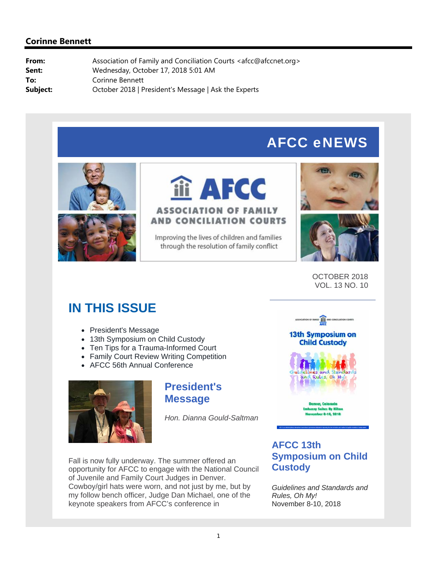# AFCC eNEWS





# iii AFCC **ASSOCIATION OF FAMILY AND CONCILIATION COURTS**

Improving the lives of children and families through the resolution of family conflict





OCTOBER 2018 VOL. 13 NO. 10

# **IN THIS ISSUE**

- President's Message
- 13th Symposium on Child Custodv
- Ten Tips for a Trauma-Informed Court
- Family Court Review Writing Competition
- AFCC 56th Annual Conference



# **President's Message**

*Hon. Dianna Gould-Saltman*



### **13th Symposium on Child Custody**



mber 8-10, 2018

Fall is now fully underway. The summer offered an opportunity for AFCC to engage with the National Council of Juvenile and Family Court Judges in Denver. Cowboy/girl hats were worn, and not just by me, but by my follow bench officer, Judge Dan Michael, one of the keynote speakers from AFCC's conference in

# **AFCC 13th Symposium on Child Custody**

*Guidelines and Standards and Rules, Oh My!* November 8-10, 2018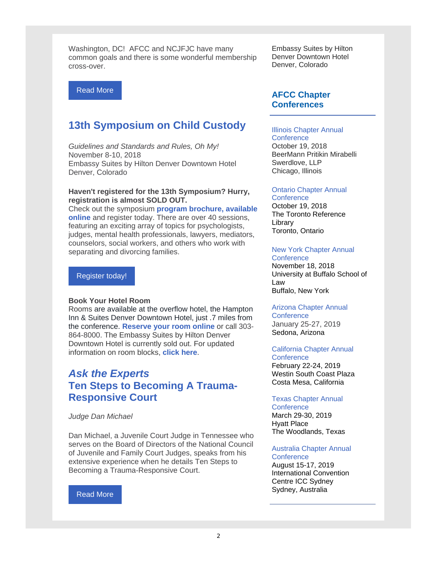Washington, DC! AFCC and NCJFJC have many common goals and there is some wonderful membership cross-over.

#### Read More

# **13th Symposium on Child Custody**

*Guidelines and Standards and Rules, Oh My!* November 8-10, 2018 Embassy Suites by Hilton Denver Downtown Hotel Denver, Colorado

#### **Haven't registered for the 13th Symposium? Hurry, registration is almost SOLD OUT.**

Check out the symposium **program brochure, available online** and register today. There are over 40 sessions, featuring an exciting array of topics for psychologists, judges, mental health professionals, lawyers, mediators, counselors, social workers, and others who work with separating and divorcing families.

#### Register today!

#### **Book Your Hotel Room**

Rooms are available at the overflow hotel, the Hampton Inn & Suites Denver Downtown Hotel, just .7 miles from the conference. **Reserve your room online** or call 303- 864-8000. The Embassy Suites by Hilton Denver Downtown Hotel is currently sold out. For updated information on room blocks, **click here**.

# *Ask the Experts*  **Ten Steps to Becoming A Trauma-Responsive Court**

#### *Judge Dan Michael*

Dan Michael, a Juvenile Court Judge in Tennessee who serves on the Board of Directors of the National Council of Juvenile and Family Court Judges, speaks from his extensive experience when he details Ten Steps to Becoming a Trauma-Responsive Court.

#### Read More

Embassy Suites by Hilton Denver Downtown Hotel Denver, Colorado

### **AFCC Chapter Conferences**

#### Illinois Chapter Annual

**Conference** October 19, 2018 BeerMann Pritikin Mirabelli Swerdlove, LLP Chicago, Illinois

#### Ontario Chapter Annual

**Conference** October 19, 2018 The Toronto Reference Library Toronto, Ontario

#### New York Chapter Annual

**Conference** November 18, 2018 University at Buffalo School of Law Buffalo, New York

### Arizona Chapter Annual

**Conference** January 25-27, 2019 Sedona, Arizona

### California Chapter Annual

**Conference** February 22-24, 2019 Westin South Coast Plaza Costa Mesa, California

#### Texas Chapter Annual

**Conference** March 29-30, 2019 Hyatt Place The Woodlands, Texas

#### Australia Chapter Annual **Conference**

August 15-17, 2019 International Convention Centre ICC Sydney Sydney, Australia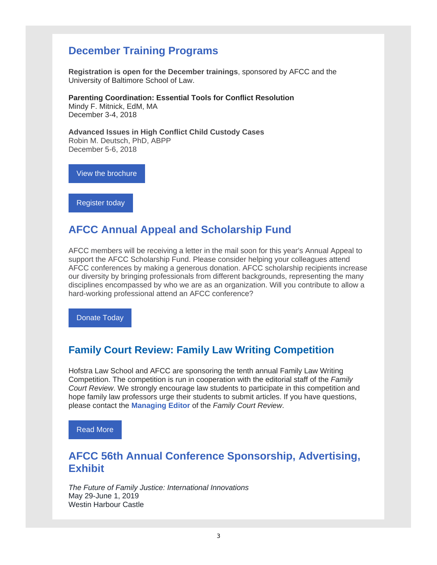# **December Training Programs**

**Registration is open for the December trainings**, sponsored by AFCC and the University of Baltimore School of Law.

#### **Parenting Coordination: Essential Tools for Conflict Resolution**

Mindy F. Mitnick, EdM, MA December 3-4, 2018

**Advanced Issues in High Conflict Child Custody Cases** Robin M. Deutsch, PhD, ABPP December 5-6, 2018

View the brochure

Register today

# **AFCC Annual Appeal and Scholarship Fund**

AFCC members will be receiving a letter in the mail soon for this year's Annual Appeal to support the AFCC Scholarship Fund. Please consider helping your colleagues attend AFCC conferences by making a generous donation. AFCC scholarship recipients increase our diversity by bringing professionals from different backgrounds, representing the many disciplines encompassed by who we are as an organization. Will you contribute to allow a hard-working professional attend an AFCC conference?

Donate Today

# **Family Court Review: Family Law Writing Competition**

Hofstra Law School and AFCC are sponsoring the tenth annual Family Law Writing Competition. The competition is run in cooperation with the editorial staff of the *Family Court Review*. We strongly encourage law students to participate in this competition and hope family law professors urge their students to submit articles. If you have questions, please contact the **Managing Editor** of the *Family Court Review*.

Read More

# **AFCC 56th Annual Conference Sponsorship, Advertising, Exhibit**

*The Future of Family Justice: International Innovations* May 29-June 1, 2019 Westin Harbour Castle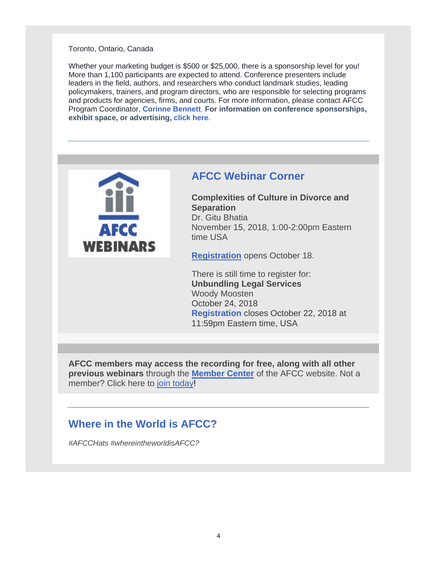#### Toronto, Ontario, Canada

Whether your marketing budget is \$500 or \$25,000, there is a sponsorship level for you! More than 1,100 participants are expected to attend. Conference presenters include leaders in the field, authors, and researchers who conduct landmark studies, leading policymakers, trainers, and program directors, who are responsible for selecting programs and products for agencies, firms, and courts. For more information, please contact AFCC Program Coordinator, **Corinne Bennett**. **For information on conference sponsorships, exhibit space, or advertising, click here**.



# **AFCC Webinar Corner**

**Complexities of Culture in Divorce and Separation** Dr. Gitu Bhatia November 15, 2018, 1:00-2:00pm Eastern time USA

**Registration** opens October 18.

There is still time to register for: **Unbundling Legal Services** Woody Moosten October 24, 2018 **Registration** closes October 22, 2018 at 11:59pm Eastern time, USA

**AFCC members may access the recording for free, along with all other previous webinars** through the **Member Center** of the AFCC website. Not a member? Click here to join today!

# **Where in the World is AFCC?**

*#AFCCHats #whereintheworldisAFCC?*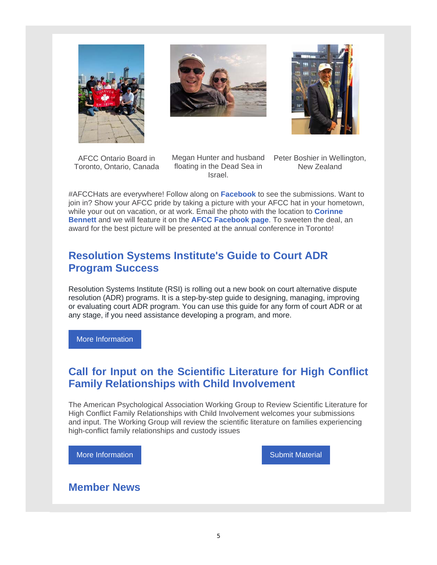





AFCC Ontario Board in Toronto, Ontario, Canada Megan Hunter and husband Peter Boshier in Wellington, floating in the Dead Sea in Israel.

New Zealand

#AFCCHats are everywhere! Follow along on **Facebook** to see the submissions. Want to join in? Show your AFCC pride by taking a picture with your AFCC hat in your hometown, while your out on vacation, or at work. Email the photo with the location to **Corinne Bennett** and we will feature it on the **AFCC Facebook page**. To sweeten the deal, an award for the best picture will be presented at the annual conference in Toronto!

# **Resolution Systems Institute's Guide to Court ADR Program Success**

Resolution Systems Institute (RSI) is rolling out a new book on court alternative dispute resolution (ADR) programs. It is a step-by-step guide to designing, managing, improving or evaluating court ADR program. You can use this guide for any form of court ADR or at any stage, if you need assistance developing a program, and more.

More Information

# **Call for Input on the Scientific Literature for High Conflict Family Relationships with Child Involvement**

The American Psychological Association Working Group to Review Scientific Literature for High Conflict Family Relationships with Child Involvement welcomes your submissions and input. The Working Group will review the scientific literature on families experiencing high-conflict family relationships and custody issues

More Information Number 2012 19:30 Submit Material

# **Member News**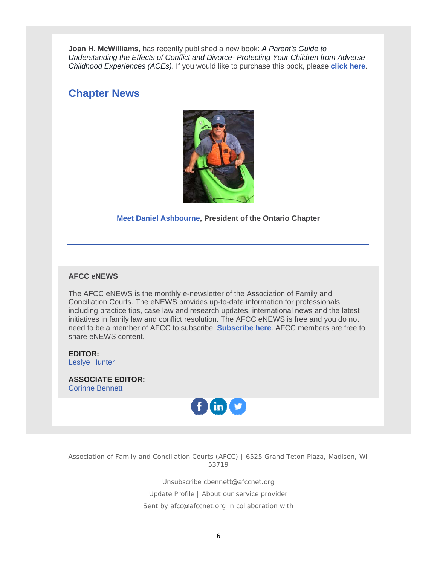**Joan H. McWilliams**, has recently published a new book: *A Parent's Guide to Understanding the Effects of Conflict and Divorce- Protecting Your Children from Adverse Childhood Experiences (ACEs)*. If you would like to purchase this book, please **click here**.

# **Chapter News**



### **Meet Daniel Ashbourne, President of the Ontario Chapter**

#### **AFCC eNEWS**

The AFCC eNEWS is the monthly e-newsletter of the Association of Family and Conciliation Courts. The eNEWS provides up-to-date information for professionals including practice tips, case law and research updates, international news and the latest initiatives in family law and conflict resolution. The AFCC eNEWS is free and you do not need to be a member of AFCC to subscribe. **Subscribe here**. AFCC members are free to share eNEWS content.

**EDITOR:** Leslye Hunter

**ASSOCIATE EDITOR:** Corinne Bennett



Association of Family and Conciliation Courts (AFCC) | 6525 Grand Teton Plaza, Madison, WI 53719

Unsubscribe cbennett@afccnet.org

Update Profile | About our service provider

Sent by afcc@afccnet.org in collaboration with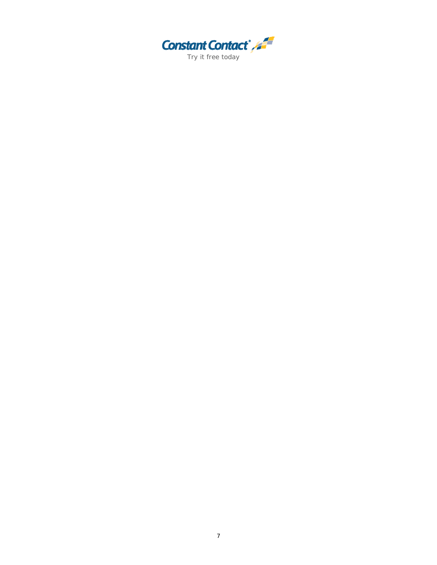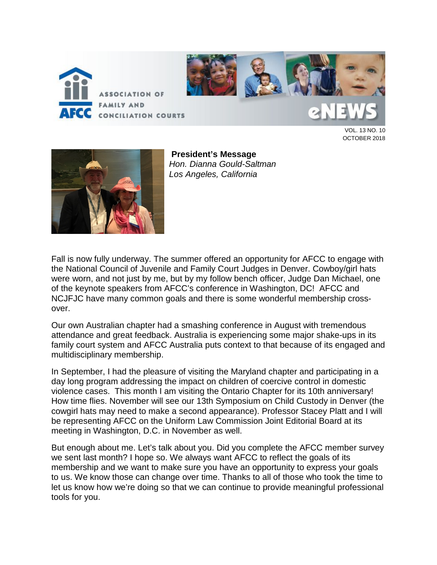



VOL. 13 NO. 10 OCTOBER 2018



**President's Message** *Hon. Dianna Gould-Saltman Los Angeles, California*

Fall is now fully underway. The summer offered an opportunity for AFCC to engage with the National Council of Juvenile and Family Court Judges in Denver. Cowboy/girl hats were worn, and not just by me, but by my follow bench officer, Judge Dan Michael, one of the keynote speakers from AFCC's conference in Washington, DC! AFCC and NCJFJC have many common goals and there is some wonderful membership crossover.

Our own Australian chapter had a smashing conference in August with tremendous attendance and great feedback. Australia is experiencing some major shake-ups in its family court system and AFCC Australia puts context to that because of its engaged and multidisciplinary membership.

In September, I had the pleasure of visiting the Maryland chapter and participating in a day long program addressing the impact on children of coercive control in domestic violence cases. This month I am visiting the Ontario Chapter for its 10th anniversary! How time flies. November will see our 13th Symposium on Child Custody in Denver (the cowgirl hats may need to make a second appearance). Professor Stacey Platt and I will be representing AFCC on the Uniform Law Commission Joint Editorial Board at its meeting in Washington, D.C. in November as well.

But enough about me. Let's talk about you. Did you complete the AFCC member survey we sent last month? I hope so. We always want AFCC to reflect the goals of its membership and we want to make sure you have an opportunity to express your goals to us. We know those can change over time. Thanks to all of those who took the time to let us know how we're doing so that we can continue to provide meaningful professional tools for you.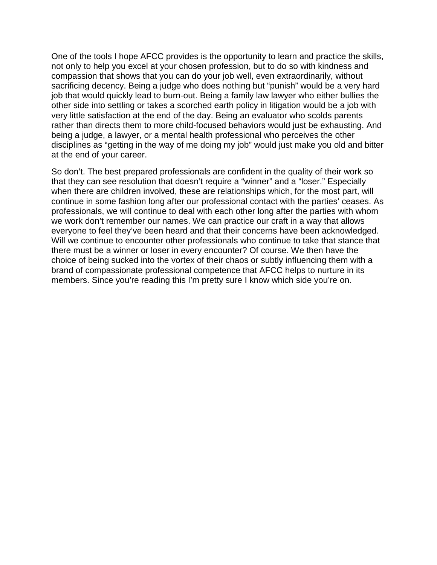One of the tools I hope AFCC provides is the opportunity to learn and practice the skills, not only to help you excel at your chosen profession, but to do so with kindness and compassion that shows that you can do your job well, even extraordinarily, without sacrificing decency. Being a judge who does nothing but "punish" would be a very hard job that would quickly lead to burn-out. Being a family law lawyer who either bullies the other side into settling or takes a scorched earth policy in litigation would be a job with very little satisfaction at the end of the day. Being an evaluator who scolds parents rather than directs them to more child-focused behaviors would just be exhausting. And being a judge, a lawyer, or a mental health professional who perceives the other disciplines as "getting in the way of me doing my job" would just make you old and bitter at the end of your career.

So don't. The best prepared professionals are confident in the quality of their work so that they can see resolution that doesn't require a "winner" and a "loser." Especially when there are children involved, these are relationships which, for the most part, will continue in some fashion long after our professional contact with the parties' ceases. As professionals, we will continue to deal with each other long after the parties with whom we work don't remember our names. We can practice our craft in a way that allows everyone to feel they've been heard and that their concerns have been acknowledged. Will we continue to encounter other professionals who continue to take that stance that there must be a winner or loser in every encounter? Of course. We then have the choice of being sucked into the vortex of their chaos or subtly influencing them with a brand of compassionate professional competence that AFCC helps to nurture in its members. Since you're reading this I'm pretty sure I know which side you're on.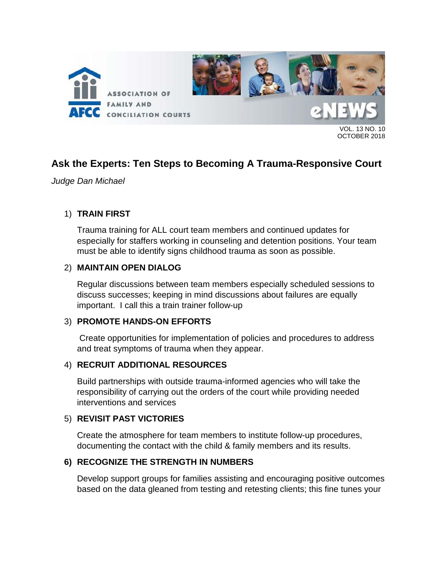

13 NO. 10 OCTOBER 2018

# **Ask the Experts: Ten Steps to Becoming A Trauma-Responsive Court**

*Judge Dan Michael*

### 1) **TRAIN FIRST**

Trauma training for ALL court team members and continued updates for especially for staffers working in counseling and detention positions. Your team must be able to identify signs childhood trauma as soon as possible.

### 2) **MAINTAIN OPEN DIALOG**

Regular discussions between team members especially scheduled sessions to discuss successes; keeping in mind discussions about failures are equally important. I call this a train trainer follow-up

### 3) **PROMOTE HANDS-ON EFFORTS**

Create opportunities for implementation of policies and procedures to address and treat symptoms of trauma when they appear.

### 4) **RECRUIT ADDITIONAL RESOURCES**

Build partnerships with outside trauma-informed agencies who will take the responsibility of carrying out the orders of the court while providing needed interventions and services

### 5) **REVISIT PAST VICTORIES**

Create the atmosphere for team members to institute follow-up procedures, documenting the contact with the child & family members and its results.

### **6) RECOGNIZE THE STRENGTH IN NUMBERS**

Develop support groups for families assisting and encouraging positive outcomes based on the data gleaned from testing and retesting clients; this fine tunes your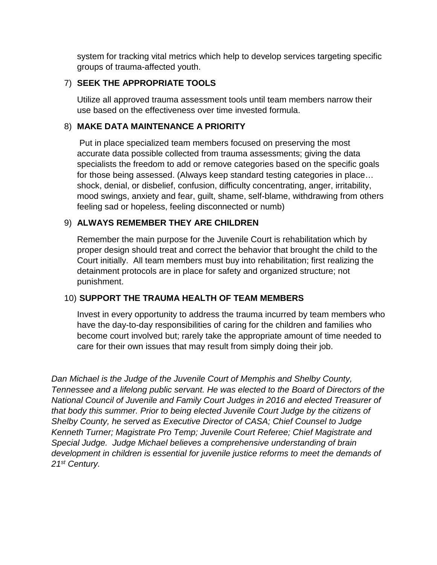system for tracking vital metrics which help to develop services targeting specific groups of trauma-affected youth.

### 7) **SEEK THE APPROPRIATE TOOLS**

Utilize all approved trauma assessment tools until team members narrow their use based on the effectiveness over time invested formula.

## 8) **MAKE DATA MAINTENANCE A PRIORITY**

Put in place specialized team members focused on preserving the most accurate data possible collected from trauma assessments; giving the data specialists the freedom to add or remove categories based on the specific goals for those being assessed. (Always keep standard testing categories in place… shock, denial, or disbelief, confusion, difficulty concentrating, anger, irritability, mood swings, anxiety and fear, guilt, shame, self-blame, withdrawing from others feeling sad or hopeless, feeling disconnected or numb)

### 9) **ALWAYS REMEMBER THEY ARE CHILDREN**

Remember the main purpose for the Juvenile Court is rehabilitation which by proper design should treat and correct the behavior that brought the child to the Court initially. All team members must buy into rehabilitation; first realizing the detainment protocols are in place for safety and organized structure; not punishment.

### 10) **SUPPORT THE TRAUMA HEALTH OF TEAM MEMBERS**

Invest in every opportunity to address the trauma incurred by team members who have the day-to-day responsibilities of caring for the children and families who become court involved but; rarely take the appropriate amount of time needed to care for their own issues that may result from simply doing their job.

*Dan Michael is the Judge of the Juvenile Court of Memphis and Shelby County, Tennessee and a lifelong public servant. He was elected to the Board of Directors of the National Council of Juvenile and Family Court Judges in 2016 and elected Treasurer of that body this summer. Prior to being elected Juvenile Court Judge by the citizens of Shelby County, he served as Executive Director of CASA; Chief Counsel to Judge Kenneth Turner; Magistrate Pro Temp; Juvenile Court Referee; Chief Magistrate and Special Judge. Judge Michael believes a comprehensive understanding of brain development in children is essential for juvenile justice reforms to meet the demands of 21st Century.*